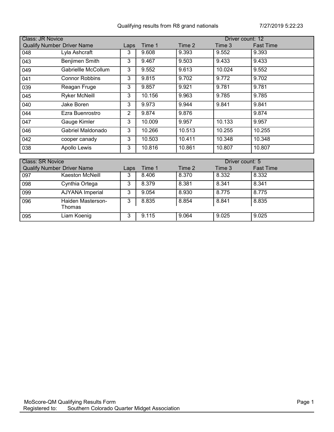|                                   | <b>Class: JR Novice</b><br>Driver count: 12 |      |        |        |        |                  |  |  |  |
|-----------------------------------|---------------------------------------------|------|--------|--------|--------|------------------|--|--|--|
| <b>Qualify Number Driver Name</b> |                                             | Laps | Time 1 | Time 2 | Time 3 | <b>Fast Time</b> |  |  |  |
| 048                               | Lyla Ashcraft                               | 3    | 9.608  | 9.393  | 9.552  | 9.393            |  |  |  |
| 043                               | Benjimen Smith                              | 3    | 9.467  | 9.503  | 9.433  | 9.433            |  |  |  |
| 049                               | Gabriellle McCollum                         | 3    | 9.552  | 9.613  | 10.024 | 9.552            |  |  |  |
| 041                               | <b>Connor Robbins</b>                       | 3    | 9.815  | 9.702  | 9.772  | 9.702            |  |  |  |
| 039                               | Reagan Fruge                                | 3    | 9.857  | 9.921  | 9.781  | 9.781            |  |  |  |
| 045                               | <b>Ryker McNeill</b>                        | 3    | 10.156 | 9.963  | 9.785  | 9.785            |  |  |  |
| 040                               | Jake Boren                                  | 3    | 9.973  | 9.944  | 9.841  | 9.841            |  |  |  |
| 044                               | Ezra Buenrostro                             | 2    | 9.874  | 9.876  |        | 9.874            |  |  |  |
| 047                               | Gauge Kimler                                | 3    | 10.009 | 9.957  | 10.133 | 9.957            |  |  |  |
| 046                               | Gabriel Maldonado                           | 3    | 10.266 | 10.513 | 10.255 | 10.255           |  |  |  |
| 042                               | cooper canady                               | 3    | 10.503 | 10.411 | 10.348 | 10.348           |  |  |  |
| 038                               | Apollo Lewis                                | 3    | 10.816 | 10.861 | 10.807 | 10.807           |  |  |  |

|     | <b>Class: SR Novice</b><br>Driver count: 5 |      |        |        |        |                  |  |
|-----|--------------------------------------------|------|--------|--------|--------|------------------|--|
|     | <b>Qualify Number Driver Name</b>          | Laps | Time 1 | Time 2 | Time 3 | <b>Fast Time</b> |  |
| 097 | Kaeston McNeill                            | 3    | 8.406  | 8.370  | 8.332  | 8.332            |  |
| 098 | Cynthia Ortega                             | 3    | 8.379  | 8.381  | 8.341  | 8.341            |  |
| 099 | <b>AJYANA Imperial</b>                     | 3    | 9.054  | 8.930  | 8.775  | 8.775            |  |
| 096 | Haiden Masterson-<br>Thomas                | 3    | 8.835  | 8.854  | 8.841  | 8.835            |  |
| 095 | Liam Koenig                                | 3    | 9.115  | 9.064  | 9.025  | 9.025            |  |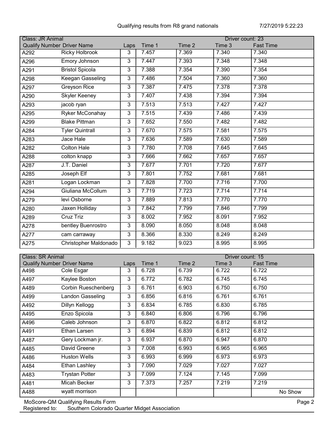|      | Class: JR Animal<br>Driver count: 23 |                |        |        |        |                  |  |  |  |
|------|--------------------------------------|----------------|--------|--------|--------|------------------|--|--|--|
|      | <b>Qualify Number Driver Name</b>    | Laps           | Time 1 | Time 2 | Time 3 | <b>Fast Time</b> |  |  |  |
| A292 | <b>Ricky Holbrook</b>                | 3              | 7.457  | 7.369  | 7.340  | 7.340            |  |  |  |
| A296 | Emory Johnson                        | 3              | 7.447  | 7.393  | 7.348  | 7.348            |  |  |  |
| A291 | <b>Bristol Spicola</b>               | 3              | 7.388  | 7.354  | 7.390  | 7.354            |  |  |  |
| A298 | Keegan Gasseling                     | 3              | 7.486  | 7.504  | 7.360  | 7.360            |  |  |  |
| A297 | Greyson Rice                         | 3              | 7.387  | 7.475  | 7.378  | 7.378            |  |  |  |
| A290 | <b>Skyler Keeney</b>                 | 3              | 7.407  | 7.438  | 7.394  | 7.394            |  |  |  |
| A293 | jacob ryan                           | 3              | 7.513  | 7.513  | 7.427  | 7.427            |  |  |  |
| A295 | Ryker McConahay                      | $\overline{3}$ | 7.515  | 7.439  | 7.486  | 7.439            |  |  |  |
| A299 | <b>Blake Pittman</b>                 | 3              | 7.652  | 7.550  | 7.482  | 7.482            |  |  |  |
| A284 | <b>Tyler Quintrall</b>               | 3              | 7.670  | 7.575  | 7.581  | 7.575            |  |  |  |
| A283 | Jace Hale                            | 3              | 7.636  | 7.589  | 7.630  | 7.589            |  |  |  |
| A282 | <b>Colton Hale</b>                   | 3              | 7.780  | 7.708  | 7.645  | 7.645            |  |  |  |
| A288 | colton knapp                         | 3              | 7.666  | 7.662  | 7.657  | 7.657            |  |  |  |
| A287 | J.T. Daniel                          | 3              | 7.677  | 7.701  | 7.720  | 7.677            |  |  |  |
| A285 | Joseph Elf                           | 3              | 7.801  | 7.752  | 7.681  | 7.681            |  |  |  |
| A281 | Logan Lockman                        | 3              | 7.828  | 7.700  | 7.716  | 7.700            |  |  |  |
| A294 | Giuliana McCollum                    | 3              | 7.719  | 7.723  | 7.714  | 7.714            |  |  |  |
| A279 | levi Osborne                         | 3              | 7.889  | 7.813  | 7.770  | 7.770            |  |  |  |
| A280 | Jaxen Holliday                       | 3              | 7.842  | 7.799  | 7.846  | 7.799            |  |  |  |
| A289 | <b>Cruz Triz</b>                     | 3              | 8.002  | 7.952  | 8.091  | 7.952            |  |  |  |
| A278 | bentley Buenrostro                   | 3              | 8.090  | 8.050  | 8.048  | 8.048            |  |  |  |
| A277 | cam carraway                         | 3              | 8.366  | 8.330  | 8.249  | 8.249            |  |  |  |
| A275 | Christopher Maldonado                | 3              | 9.182  | 9.023  | 8.995  | 8.995            |  |  |  |
|      |                                      |                |        |        |        |                  |  |  |  |

| <b>Class: SR Animal</b><br>Driver count: 15 |                                   |      |        |        |        |                  |  |
|---------------------------------------------|-----------------------------------|------|--------|--------|--------|------------------|--|
|                                             | <b>Qualify Number Driver Name</b> | Laps | Time 1 | Time 2 | Time 3 | <b>Fast Time</b> |  |
| A498                                        | Cole Esgar                        | 3    | 6.728  | 6.739  | 6.722  | 6.722            |  |
| A497                                        | Kaylee Boston                     | 3    | 6.772  | 6.782  | 6.745  | 6.745            |  |
| A489                                        | Corbin Rueschenberg               | 3    | 6.761  | 6.903  | 6.750  | 6.750            |  |
| A499                                        | Landon Gasseling                  | 3    | 6.856  | 6.816  | 6.761  | 6.761            |  |
| A492                                        | Dillyn Kellogg                    | 3    | 6.834  | 6.785  | 6.830  | 6.785            |  |
| A495                                        | Enzo Spicola                      | 3    | 6.840  | 6.806  | 6.796  | 6.796            |  |
| A496                                        | Caleb Johnson                     | 3    | 6.870  | 6.822  | 6.812  | 6.812            |  |
| A491                                        | Ethan Larsen                      | 3    | 6.894  | 6.839  | 6.812  | 6.812            |  |
| A487                                        | Gery Lockman jr.                  | 3    | 6.937  | 6.870  | 6.947  | 6.870            |  |
| A485                                        | David Greene                      | 3    | 7.008  | 6.993  | 6.965  | 6.965            |  |
| A486                                        | <b>Huston Wells</b>               | 3    | 6.993  | 6.999  | 6.973  | 6.973            |  |
| A484                                        | Ethan Lashley                     | 3    | 7.090  | 7.029  | 7.027  | 7.027            |  |
| A483                                        | Trystan Potter                    | 3    | 7.099  | 7.124  | 7.145  | 7.099            |  |
| A481                                        | Micah Becker                      | 3    | 7.373  | 7.257  | 7.219  | 7.219            |  |
| A488                                        | wyatt morrison                    |      |        |        |        | No Show          |  |

MoScore-QM Qualifying Results Form Page 2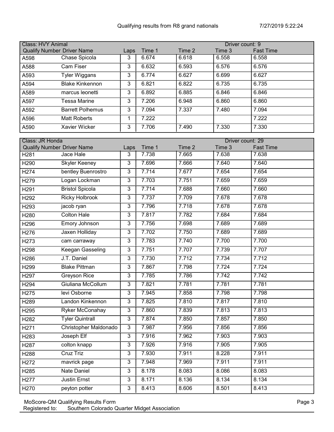| <b>Class: HVY Animal</b><br>Driver count: 9 |                                   |      |        |        |        |                  |  |
|---------------------------------------------|-----------------------------------|------|--------|--------|--------|------------------|--|
|                                             | <b>Qualify Number Driver Name</b> | Laps | Time 1 | Time 2 | Time 3 | <b>Fast Time</b> |  |
| A598                                        | Chase Spicola                     | 3    | 6.674  | 6.618  | 6.558  | 6.558            |  |
| A588                                        | Cam Fiser                         | 3    | 6.632  | 6.593  | 6.576  | 6.576            |  |
| A593                                        | Tyler Wiggans                     | 3    | 6.774  | 6.627  | 6.699  | 6.627            |  |
| A594                                        | <b>Blake Kinkennon</b>            | 3    | 6.821  | 6.822  | 6.735  | 6.735            |  |
| A589                                        | marcus leonetti                   | 3    | 6.892  | 6.885  | 6.846  | 6.846            |  |
| A597                                        | Tessa Marine                      | 3    | 7.206  | 6.948  | 6.860  | 6.860            |  |
| A592                                        | <b>Barrett Polhemus</b>           | 3    | 7.094  | 7.337  | 7.480  | 7.094            |  |
| A596                                        | <b>Matt Roberts</b>               |      | 7.222  |        |        | 7.222            |  |
| A590                                        | Xavier Wicker                     | 3    | 7.706  | 7.490  | 7.330  | 7.330            |  |

| Class: JR Honda<br>Driver count: 29 |                                   |                |        |        |                    |                  |  |
|-------------------------------------|-----------------------------------|----------------|--------|--------|--------------------|------------------|--|
|                                     | <b>Qualify Number Driver Name</b> | Laps           | Time 1 | Time 2 | Time 3             | <b>Fast Time</b> |  |
| H <sub>281</sub>                    | Jace Hale                         | 3              | 7.738  | 7.665  | 7.638              | 7.638            |  |
| H290                                | <b>Skyler Keeney</b>              | 3              | 7.696  | 7.666  | 7.640              | 7.640            |  |
| H <sub>274</sub>                    | bentley Buenrostro                | 3              | 7.714  | 7.677  | 7.654              | 7.654            |  |
| H <sub>279</sub>                    | Logan Lockman                     | 3              | 7.703  | 7.751  | 7.659              | 7.659            |  |
| H <sub>291</sub>                    | <b>Bristol Spicola</b>            | 3              | 7.714  | 7.688  | 7.660              | 7.660            |  |
| H <sub>292</sub>                    | <b>Ricky Holbrook</b>             | 3              | 7.737  | 7.709  | 7.678              | 7.678            |  |
| H293                                | jacob ryan                        | 3              | 7.796  | 7.718  | 7.678              | 7.678            |  |
| H280                                | <b>Colton Hale</b>                | $\overline{3}$ | 7.817  | 7.782  | 7.684              | 7.684            |  |
| H296                                | Emory Johnson                     | 3              | 7.756  | 7.698  | 7.689              | 7.689            |  |
| H276                                | Jaxen Holliday                    | 3              | 7.702  | 7.750  | 7.689              | 7.689            |  |
| H273                                | cam carraway                      | 3              | 7.783  | 7.740  | 7.700              | 7.700            |  |
| H298                                | <b>Keegan Gasseling</b>           | $\overline{3}$ | 7.751  | 7.707  | 7.739              | 7.707            |  |
| H286                                | J.T. Daniel                       | 3              | 7.730  | 7.712  | 7.734              | 7.712            |  |
| H <sub>299</sub>                    | <b>Blake Pittman</b>              | 3              | 7.867  | 7.798  | 7.724              | 7.724            |  |
| H <sub>297</sub>                    | <b>Greyson Rice</b>               | 3              | 7.785  | 7.786  | 7.742              | 7.742            |  |
| H <sub>294</sub>                    | Giuliana McCollum                 | 3              | 7.821  | 7.781  | 7.781              | 7.781            |  |
| H <sub>275</sub>                    | levi Osborne                      | 3              | 7.945  | 7.858  | 7.798              | 7.798            |  |
| H289                                | Landon Kinkennon                  | 3              | 7.825  | 7.810  | 7.817              | 7.810            |  |
| H295                                | Ryker McConahay                   | 3              | 7.860  | 7.839  | 7.813              | 7.813            |  |
| H282                                | <b>Tyler Quintrall</b>            | 3              | 7.874  | 7.850  | 7.857              | 7.850            |  |
| H <sub>271</sub>                    | Christopher Maldonado             | 3              | 7.987  | 7.956  | $7.\overline{856}$ | 7.856            |  |
| H <sub>283</sub>                    | Joseph Elf                        | 3              | 7.916  | 7.962  | 7.903              | 7.903            |  |
| H287                                | colton knapp                      | 3              | 7.926  | 7.916  | 7.905              | 7.905            |  |
| H288                                | <b>Cruz Triz</b>                  | 3              | 7.930  | 7.911  | 8.228              | 7.911            |  |
| H272                                | mavrick page                      | 3              | 7.948  | 7.969  | 7.911              | 7.911            |  |
| H <sub>285</sub>                    | Nate Daniel                       | 3              | 8.178  | 8.083  | 8.086              | 8.083            |  |
| H277                                | <b>Justin Ernst</b>               | 3              | 8.171  | 8.136  | 8.134              | 8.134            |  |
| H270                                | peyton potter                     | 3              | 8.413  | 8.606  | 8.501              | 8.413            |  |

MoScore-QM Qualifying Results Form Page 3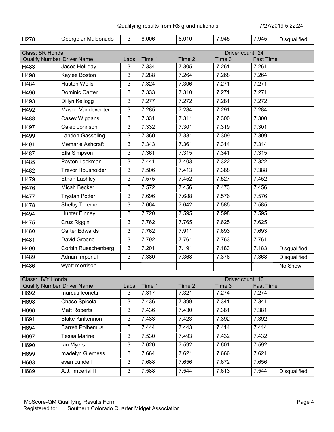$\mathbf{r}$ 

 $\mathbf{r}$ 

| H278             | George Jr Maldonado               | 3            | 8.006  | 8.010  | 7.945            | 7.945            | Disqualified |
|------------------|-----------------------------------|--------------|--------|--------|------------------|------------------|--------------|
| Class: SR Honda  |                                   |              |        |        | Driver count: 24 |                  |              |
|                  | <b>Qualify Number Driver Name</b> | Laps         | Time 1 | Time 2 | Time 3           | <b>Fast Time</b> |              |
| H483             | Jasec Holliday                    | 3            | 7.334  | 7.305  | 7.261            | 7.261            |              |
| H498             | <b>Kaylee Boston</b>              | 3            | 7.288  | 7.264  | 7.268            | 7.264            |              |
| H484             | Huston Wells                      | $\mathbf{3}$ | 7.324  | 7.306  | 7.271            | 7.271            |              |
| H496             | Dominic Carter                    | 3            | 7.333  | 7.310  | 7.271            | 7.271            |              |
| H493             | Dillyn Kellogg                    | 3            | 7.277  | 7.272  | 7.281            | 7.272            |              |
| H492             | Mason Vandeventer                 | $\mathbf{3}$ | 7.285  | 7.284  | 7.291            | 7.284            |              |
| H488             | Casey Wiggans                     | 3            | 7.331  | 7.311  | 7.300            | 7.300            |              |
| H497             | Caleb Johnson                     | 3            | 7.332  | 7.301  | 7.319            | 7.301            |              |
| H499             | Landon Gasseling                  | $\mathbf{3}$ | 7.360  | 7.331  | 7.309            | 7.309            |              |
| H491             | Memarie Ashcraft                  | 3            | 7.343  | 7.361  | 7.314            | 7.314            |              |
| H487             | Ella Simpson                      | 3            | 7.361  | 7.315  | 7.341            | 7.315            |              |
| H485             | Payton Lockman                    | 3            | 7.441  | 7.403  | 7.322            | 7.322            |              |
| H482             | <b>Trevor Housholder</b>          | 3            | 7.506  | 7.413  | 7.388            | 7.388            |              |
| H479             | Ethan Lashley                     | 3            | 7.575  | 7.452  | 7.527            | 7.452            |              |
| H476             | <b>Micah Becker</b>               | 3            | 7.572  | 7.456  | 7.473            | 7.456            |              |
| H477             | <b>Trystan Potter</b>             | 3            | 7.696  | 7.688  | 7.576            | 7.576            |              |
| H478             | Shelby Thieme                     | 3            | 7.664  | 7.642  | 7.585            | 7.585            |              |
| H494             | <b>Hunter Finney</b>              | 3            | 7.720  | 7.595  | 7.598            | 7.595            |              |
| H475             | Cruz Riggin                       | 3            | 7.762  | 7.765  | 7.625            | 7.625            |              |
| H480             | <b>Carter Edwards</b>             | $\mathbf{3}$ | 7.762  | 7.911  | 7.693            | 7.693            |              |
| H481             | David Greene                      | 3            | 7.792  | 7.761  | 7.763            | 7.761            |              |
| H490             | Corbin Rueschenberg               | 3            | 7.201  | 7.191  | 7.183            | 7.183            | Disqualified |
| H489             | Adrian Imperial                   | 3            | 7.380  | 7.368  | 7.376            | 7.368            | Disqualified |
| H486             | wyatt morrison                    |              |        |        |                  |                  | No Show      |
| Class: HVY Honda |                                   |              |        |        | Driver count: 10 |                  |              |
|                  | <b>Qualify Number Driver Name</b> | Laps         | Time 1 | Time 2 | Time 3           | <b>Fast Time</b> |              |
| H692             | marcus leonetti                   | 3            | 7.317  | 7.321  | 7.274            | 7.274            |              |
| H698             | Chase Spicola                     | 3            | 7.436  | 7.399  | 7.341            | 7.341            |              |
| H696             | Matt Roberts                      | 3            | 7.436  | 7.430  | 7.381            | 7.381            |              |
| H691             | <b>Blake Kinkennon</b>            | 3            | 7.433  | 7.423  | 7.392            | 7.392            |              |
| H694             | <b>Barrett Polhemus</b>           | 3            | 7.444  | 7.443  | 7.414            | 7.414            |              |
| H697             | <b>Tessa Marine</b>               | 3            | 7.530  | 7.493  | 7.432            | 7.432            |              |

H690 Ian Myers 3 7.620 7.592 7.601 7.592 H699 madelyn Gjerness [ 3 7.664 7.621 7.666 7.621 H693 evan cundell 3 7.688 7.656 7.672 7.656

H689 A.J. Imperial II 3 7.588 7.544 7.613 7.544 Disqualified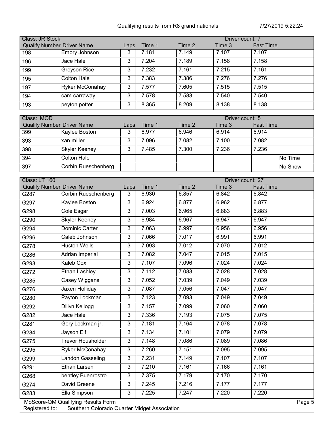| <b>Class: JR Stock</b><br>Driver count: 7 |                 |      |        |        |        |                  |  |
|-------------------------------------------|-----------------|------|--------|--------|--------|------------------|--|
| Qualify Number Driver Name                |                 | Laps | Time 1 | Time 2 | Time 3 | <b>Fast Time</b> |  |
| 198                                       | Emory Johnson   | 3    | 7.181  | 7.149  | 7.107  | 7.107            |  |
| 196                                       | Jace Hale       | 3    | 7.204  | 7.189  | 7.158  | 7.158            |  |
| 199                                       | Greyson Rice    | 3    | 7.232  | 7.161  | 7.215  | 7.161            |  |
| 195                                       | Colton Hale     | 3    | 7.383  | 7.386  | 7.276  | 7.276            |  |
| 197                                       | Ryker McConahay | 3    | 7.577  | 7.605  | 7.515  | 7.515            |  |
| 194                                       | cam carraway    | 3    | 7.578  | 7.583  | 7.540  | 7.540            |  |
| 193                                       | peyton potter   | 3    | 8.365  | 8.209  | 8.138  | 8.138            |  |

| Class: MOD |                            |      |        | Driver count: 5 |        |                  |  |
|------------|----------------------------|------|--------|-----------------|--------|------------------|--|
|            | Qualify Number Driver Name | Laps | Time 1 | Time 2          | Time 3 | <b>Fast Time</b> |  |
| 399        | Kaylee Boston              | 3    | 6.977  | 6.946           | 6.914  | 6.914            |  |
| 393        | xan miller                 |      | 7.096  | 7.082           | 7.100  | 7.082            |  |
| 398        | Skyler Keeney              | د    | 7.485  | 7.300           | 7.236  | 7.236            |  |
| 394        | Colton Hale                |      |        |                 |        | No Time          |  |
| 397        | Corbin Rueschenberg        |      |        |                 |        | No Show          |  |

| Class: LT 160 | Driver count: 27                   |                |        |        |        |                  |  |  |
|---------------|------------------------------------|----------------|--------|--------|--------|------------------|--|--|
|               | <b>Qualify Number Driver Name</b>  | Laps           | Time 1 | Time 2 | Time 3 | <b>Fast Time</b> |  |  |
| G287          | <b>Corbin Rueschenberg</b>         | 3              | 6.930  | 6.857  | 6.842  | 6.842            |  |  |
| G297          | Kaylee Boston                      | 3              | 6.924  | 6.877  | 6.962  | 6.877            |  |  |
| G298          | Cole Esgar                         | 3              | 7.003  | 6.965  | 6.883  | 6.883            |  |  |
| G290          | <b>Skyler Keeney</b>               | 3              | 6.984  | 6.967  | 6.947  | 6.947            |  |  |
| G294          | Dominic Carter                     | 3              | 7.063  | 6.997  | 6.956  | 6.956            |  |  |
| G296          | Caleb Johnson                      | 3              | 7.066  | 7.017  | 6.991  | 6.991            |  |  |
| G278          | <b>Huston Wells</b>                | $\overline{3}$ | 7.093  | 7.012  | 7.070  | 7.012            |  |  |
| G286          | Adrian Imperial                    | 3              | 7.082  | 7.047  | 7.015  | 7.015            |  |  |
| G293          | <b>Kaleb Cox</b>                   | 3              | 7.107  | 7.096  | 7.024  | 7.024            |  |  |
| G272          | Ethan Lashley                      | 3              | 7.112  | 7.083  | 7.028  | 7.028            |  |  |
| G285          | Casey Wiggans                      | 3              | 7.052  | 7.039  | 7.049  | 7.039            |  |  |
| G276          | Jaxen Holliday                     | $\overline{3}$ | 7.087  | 7.056  | 7.047  | 7.047            |  |  |
| G280          | Payton Lockman                     | $\overline{3}$ | 7.123  | 7.093  | 7.049  | 7.049            |  |  |
| G292          | <b>Dillyn Kellogg</b>              | $\overline{3}$ | 7.157  | 7.099  | 7.060  | 7.060            |  |  |
| G282          | Jace Hale                          | 3              | 7.336  | 7.193  | 7.075  | 7.075            |  |  |
| G281          | Gery Lockman jr.                   | 3              | 7.181  | 7.164  | 7.078  | 7.078            |  |  |
| G284          | Jayson Elf                         | 3              | 7.134  | 7.101  | 7.079  | 7.079            |  |  |
| G275          | <b>Trevor Housholder</b>           | $\overline{3}$ | 7.148  | 7.086  | 7.089  | 7.086            |  |  |
| G295          | Ryker McConahay                    | 3              | 7.260  | 7.151  | 7.095  | 7.095            |  |  |
| G299          | Landon Gasseling                   | 3              | 7.231  | 7.149  | 7.107  | 7.107            |  |  |
| G291          | Ethan Larsen                       | 3              | 7.210  | 7.161  | 7.166  | 7.161            |  |  |
| G268          | bentley Buenrostro                 | 3              | 7.375  | 7.179  | 7.170  | 7.170            |  |  |
| G274          | David Greene                       | 3              | 7.245  | 7.216  | 7.177  | 7.177            |  |  |
| G283          | Ella Simpson                       | 3              | 7.225  | 7.247  | 7.220  | 7.220            |  |  |
|               | MoScore-QM Qualifying Results Form |                |        |        |        | Page 5           |  |  |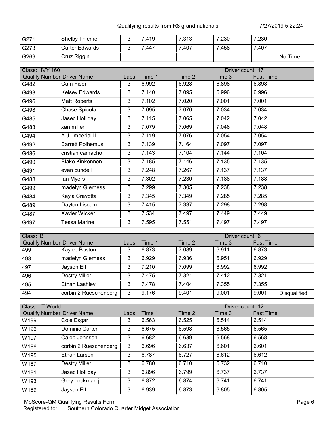| G27 <sup>4</sup> | Shelby Thieme  | .419 | 7.313 | 7.230 | 7.230   |
|------------------|----------------|------|-------|-------|---------|
| G273             | Carter Edwards | .447 | .407  | 7.458 | 7.407   |
| G269             | Cruz Riggin    |      |       |       | No Time |

| Class: HVY 160 |                                   |      |        |        | Driver count: 17 |                  |
|----------------|-----------------------------------|------|--------|--------|------------------|------------------|
|                | <b>Qualify Number Driver Name</b> | Laps | Time 1 | Time 2 | Time 3           | <b>Fast Time</b> |
| G482           | Cam Fiser                         | 3    | 6.992  | 6.928  | 6.898            | 6.898            |
| G493           | Kelsey Edwards                    | 3    | 7.140  | 7.095  | 6.996            | 6.996            |
| G496           | <b>Matt Roberts</b>               | 3    | 7.102  | 7.020  | 7.001            | 7.001            |
| G498           | Chase Spicola                     | 3    | 7.095  | 7.070  | 7.034            | 7.034            |
| G485           | Jasec Holliday                    | 3    | 7.115  | 7.065  | 7.042            | 7.042            |
| G483           | xan miller                        | 3    | 7.079  | 7.069  | 7.048            | 7.048            |
| G494           | A.J. Imperial II                  | 3    | 7.119  | 7.076  | 7.054            | 7.054            |
| G492           | <b>Barrett Polhemus</b>           | 3    | 7.139  | 7.164  | 7.097            | 7.097            |
| G486           | cristian camacho                  | 3    | 7.143  | 7.104  | 7.144            | 7.104            |
| G490           | <b>Blake Kinkennon</b>            | 3    | 7.185  | 7.146  | 7.135            | 7.135            |
| G491           | evan cundell                      | 3    | 7.248  | 7.267  | 7.137            | 7.137            |
| G488           | lan Myers                         | 3    | 7.302  | 7.230  | 7.188            | 7.188            |
| G499           | madelyn Gjerness                  | 3    | 7.299  | 7.305  | 7.238            | 7.238            |
| G484           | Kayla Cravotta                    | 3    | 7.345  | 7.349  | 7.285            | 7.285            |
| G489           | Dayton Liscum                     | 3    | 7.415  | 7.337  | 7.298            | 7.298            |
| G487           | Xavier Wicker                     | 3    | 7.534  | 7.497  | 7.449            | 7.449            |
| G497           | <b>Tessa Marine</b>               | 3    | 7.595  | 7.551  | 7.497            | 7.497            |

| Class: B                          |                       |      |        | Driver count: 6 |        |                              |  |
|-----------------------------------|-----------------------|------|--------|-----------------|--------|------------------------------|--|
| <b>Qualify Number Driver Name</b> |                       | Laps | Time 1 | Time 2          | Time 3 | <b>Fast Time</b>             |  |
| 499                               | Kaylee Boston         | 3    | 6.873  | 7.089           | 6.911  | 6.873                        |  |
| 498                               | madelyn Gjerness      | 3    | 6.929  | 6.936           | 6.951  | 6.929                        |  |
| 497                               | Jayson Elf            | 3    | 7.210  | 7.099           | 6.992  | 6.992                        |  |
| 496                               | <b>Destry Miller</b>  | 3    | 7.475  | 7.321           | 7.412  | 7.321                        |  |
| 495                               | Ethan Lashley         | 3    | 7.478  | 7.404           | 7.355  | 7.355                        |  |
| 494                               | corbin 2 Rueschenberg | 3    | 9.176  | 9.401           | 9.001  | 9.001<br><b>Disqualified</b> |  |

| Class: LT World                   |                       |      | Driver count: 12 |        |        |                  |
|-----------------------------------|-----------------------|------|------------------|--------|--------|------------------|
| <b>Qualify Number Driver Name</b> |                       | Laps | Time 1           | Time 2 | Time 3 | <b>Fast Time</b> |
| W199                              | Cole Esgar            | 3    | 6.563            | 6.525  | 6.514  | 6.514            |
| W196                              | Dominic Carter        | 3    | 6.675            | 6.598  | 6.565  | 6.565            |
| W197                              | Caleb Johnson         | 3    | 6.682            | 6.639  | 6.568  | 6.568            |
| W186                              | corbin 2 Rueschenberg | 3    | 6.696            | 6.637  | 6.601  | 6.601            |
| W195                              | Ethan Larsen          | 3    | 6.787            | 6.727  | 6.612  | 6.612            |
| W187                              | Destry Miller         | 3    | 6.780            | 6.710  | 6.732  | 6.710            |
| W191                              | Jasec Holliday        | 3    | 6.896            | 6.799  | 6.737  | 6.737            |
| W193                              | Gery Lockman jr.      | 3    | 6.872            | 6.874  | 6.741  | 6.741            |
| W189                              | Jayson Elf            | 3    | 6.939            | 6.873  | 6.805  | 6.805            |

MoScore-QM Qualifying Results Form Page 6